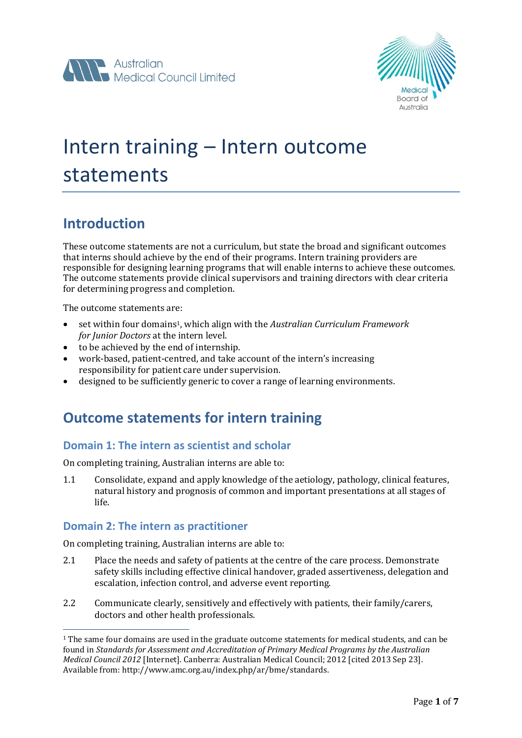



# Intern training – Intern outcome statements

#### **Introduction**

These outcome statements are not a curriculum, but state the broad and significant outcomes that interns should achieve by the end of their programs. Intern training providers are responsible for designing learning programs that will enable interns to achieve these outcomes. The outcome statements provide clinical supervisors and training directors with clear criteria for determining progress and completion.

The outcome statements are:

- set within four domains1, which align with the *Australian Curriculum Framework for Junior Doctors* at the intern level.
- to be achieved by the end of internship.
- work-based, patient-centred, and take account of the intern's increasing responsibility for patient care under supervision.
- designed to be sufficiently generic to cover a range of learning environments.

#### **Outcome statements for intern training**

#### **Domain 1: The intern as scientist and scholar**

On completing training, Australian interns are able to:

1.1 Consolidate, expand and apply knowledge of the aetiology, pathology, clinical features, natural history and prognosis of common and important presentations at all stages of life.

#### **Domain 2: The intern as practitioner**

 $\overline{a}$ 

On completing training, Australian interns are able to:

- 2.1 Place the needs and safety of patients at the centre of the care process. Demonstrate safety skills including effective clinical handover, graded assertiveness, delegation and escalation, infection control, and adverse event reporting.
- 2.2 Communicate clearly, sensitively and effectively with patients, their family/carers, doctors and other health professionals.

<sup>1</sup> The same four domains are used in the graduate outcome statements for medical students, and can be found in *Standards for Assessment and Accreditation of Primary Medical Programs by the Australian Medical Council 2012* [Internet]. Canberra: Australian Medical Council; 2012 [cited 2013 Sep 23]. Available from: http://www.amc.org.au/index.php/ar/bme/standards.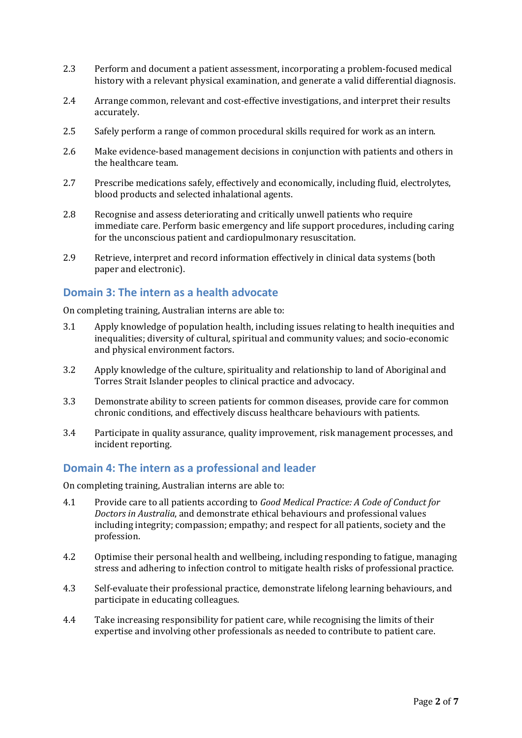- 2.3 Perform and document a patient assessment, incorporating a problem-focused medical history with a relevant physical examination, and generate a valid differential diagnosis.
- 2.4 Arrange common, relevant and cost-effective investigations, and interpret their results accurately.
- 2.5 Safely perform a range of common procedural skills required for work as an intern.
- 2.6 Make evidence-based management decisions in conjunction with patients and others in the healthcare team.
- 2.7 Prescribe medications safely, effectively and economically, including fluid, electrolytes, blood products and selected inhalational agents.
- 2.8 Recognise and assess deteriorating and critically unwell patients who require immediate care. Perform basic emergency and life support procedures, including caring for the unconscious patient and cardiopulmonary resuscitation.
- 2.9 Retrieve, interpret and record information effectively in clinical data systems (both paper and electronic).

#### **Domain 3: The intern as a health advocate**

On completing training, Australian interns are able to:

- 3.1 Apply knowledge of population health, including issues relating to health inequities and inequalities; diversity of cultural, spiritual and community values; and socio-economic and physical environment factors.
- 3.2 Apply knowledge of the culture, spirituality and relationship to land of Aboriginal and Torres Strait Islander peoples to clinical practice and advocacy.
- 3.3 Demonstrate ability to screen patients for common diseases, provide care for common chronic conditions, and effectively discuss healthcare behaviours with patients.
- 3.4 Participate in quality assurance, quality improvement, risk management processes, and incident reporting.

#### **Domain 4: The intern as a professional and leader**

On completing training, Australian interns are able to:

- 4.1 Provide care to all patients according to *Good Medical Practice: A Code of Conduct for Doctors in Australia*, and demonstrate ethical behaviours and professional values including integrity; compassion; empathy; and respect for all patients, society and the profession.
- 4.2 Optimise their personal health and wellbeing, including responding to fatigue, managing stress and adhering to infection control to mitigate health risks of professional practice.
- 4.3 Self-evaluate their professional practice, demonstrate lifelong learning behaviours, and participate in educating colleagues.
- 4.4 Take increasing responsibility for patient care, while recognising the limits of their expertise and involving other professionals as needed to contribute to patient care.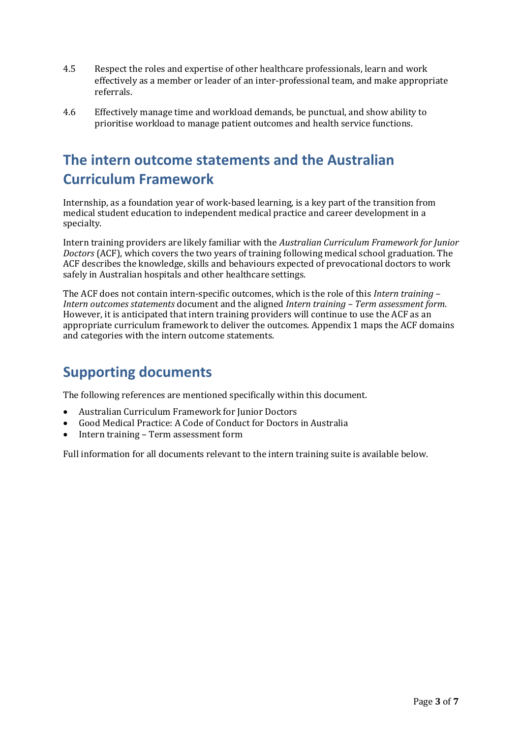- 4.5 Respect the roles and expertise of other healthcare professionals, learn and work effectively as a member or leader of an inter-professional team, and make appropriate referrals.
- 4.6 Effectively manage time and workload demands, be punctual, and show ability to prioritise workload to manage patient outcomes and health service functions.

### **The intern outcome statements and the Australian Curriculum Framework**

Internship, as a foundation year of work-based learning, is a key part of the transition from medical student education to independent medical practice and career development in a specialty.

Intern training providers are likely familiar with the *Australian Curriculum Framework for Junior Doctors* (ACF), which covers the two years of training following medical school graduation. The ACF describes the knowledge, skills and behaviours expected of prevocational doctors to work safely in Australian hospitals and other healthcare settings.

The ACF does not contain intern-specific outcomes, which is the role of this *Intern training – Intern outcomes statements* document and the aligned *Intern training – Term assessment form*. However, it is anticipated that intern training providers will continue to use the ACF as an appropriate curriculum framework to deliver the outcomes. Appendix 1 maps the ACF domains and categories with the intern outcome statements.

### **Supporting documents**

The following references are mentioned specifically within this document.

- Australian Curriculum Framework for Junior Doctors
- Good Medical Practice: A Code of Conduct for Doctors in Australia
- Intern training Term assessment form

Full information for all documents relevant to the intern training suite is available below.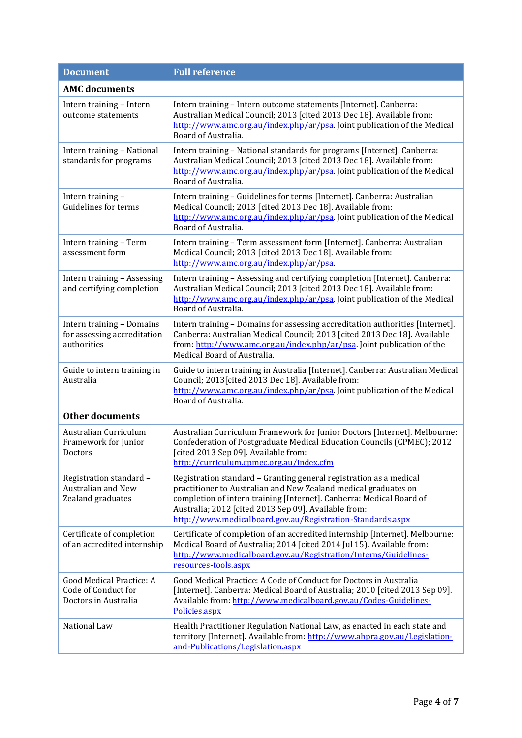| <b>Document</b>                                                         | <b>Full reference</b>                                                                                                                                                                                                                                                                                                               |  |
|-------------------------------------------------------------------------|-------------------------------------------------------------------------------------------------------------------------------------------------------------------------------------------------------------------------------------------------------------------------------------------------------------------------------------|--|
| <b>AMC</b> documents                                                    |                                                                                                                                                                                                                                                                                                                                     |  |
| Intern training - Intern<br>outcome statements                          | Intern training - Intern outcome statements [Internet]. Canberra:<br>Australian Medical Council; 2013 [cited 2013 Dec 18]. Available from:<br>http://www.amc.org.au/index.php/ar/psa. Joint publication of the Medical<br>Board of Australia.                                                                                       |  |
| Intern training - National<br>standards for programs                    | Intern training - National standards for programs [Internet]. Canberra:<br>Australian Medical Council; 2013 [cited 2013 Dec 18]. Available from:<br>http://www.amc.org.au/index.php/ar/psa. Joint publication of the Medical<br>Board of Australia.                                                                                 |  |
| Intern training -<br>Guidelines for terms                               | Intern training - Guidelines for terms [Internet]. Canberra: Australian<br>Medical Council; 2013 [cited 2013 Dec 18]. Available from:<br>http://www.amc.org.au/index.php/ar/psa. Joint publication of the Medical<br>Board of Australia.                                                                                            |  |
| Intern training - Term<br>assessment form                               | Intern training - Term assessment form [Internet]. Canberra: Australian<br>Medical Council; 2013 [cited 2013 Dec 18]. Available from:<br>http://www.amc.org.au/index.php/ar/psa.                                                                                                                                                    |  |
| Intern training - Assessing<br>and certifying completion                | Intern training - Assessing and certifying completion [Internet]. Canberra:<br>Australian Medical Council; 2013 [cited 2013 Dec 18]. Available from:<br>http://www.amc.org.au/index.php/ar/psa. Joint publication of the Medical<br>Board of Australia.                                                                             |  |
| Intern training - Domains<br>for assessing accreditation<br>authorities | Intern training - Domains for assessing accreditation authorities [Internet].<br>Canberra: Australian Medical Council; 2013 [cited 2013 Dec 18]. Available<br>from: http://www.amc.org.au/index.php/ar/psa. Joint publication of the<br>Medical Board of Australia.                                                                 |  |
| Guide to intern training in<br>Australia                                | Guide to intern training in Australia [Internet]. Canberra: Australian Medical<br>Council; 2013 [cited 2013 Dec 18]. Available from:<br>http://www.amc.org.au/index.php/ar/psa. Joint publication of the Medical<br>Board of Australia.                                                                                             |  |
| <b>Other documents</b>                                                  |                                                                                                                                                                                                                                                                                                                                     |  |
| Australian Curriculum<br>Framework for Junior<br>Doctors                | Australian Curriculum Framework for Junior Doctors [Internet]. Melbourne:<br>Confederation of Postgraduate Medical Education Councils (CPMEC); 2012<br>[cited 2013 Sep 09]. Available from:<br>http://curriculum.cpmec.org.au/index.cfm                                                                                             |  |
| Registration standard -<br>Australian and New<br>Zealand graduates      | Registration standard - Granting general registration as a medical<br>practitioner to Australian and New Zealand medical graduates on<br>completion of intern training [Internet]. Canberra: Medical Board of<br>Australia; 2012 [cited 2013 Sep 09]. Available from:<br>http://www.medicalboard.gov.au/Registration-Standards.aspx |  |
| Certificate of completion<br>of an accredited internship                | Certificate of completion of an accredited internship [Internet]. Melbourne:<br>Medical Board of Australia; 2014 [cited 2014 Jul 15]. Available from:<br>http://www.medicalboard.gov.au/Registration/Interns/Guidelines-<br>resources-tools.aspx                                                                                    |  |
| Good Medical Practice: A<br>Code of Conduct for<br>Doctors in Australia | Good Medical Practice: A Code of Conduct for Doctors in Australia<br>[Internet]. Canberra: Medical Board of Australia; 2010 [cited 2013 Sep 09].<br>Available from: http://www.medicalboard.gov.au/Codes-Guidelines-<br>Policies.aspx                                                                                               |  |
| National Law                                                            | Health Practitioner Regulation National Law, as enacted in each state and<br>territory [Internet]. Available from: http://www.ahpra.gov.au/Legislation-<br>and-Publications/Legislation.aspx                                                                                                                                        |  |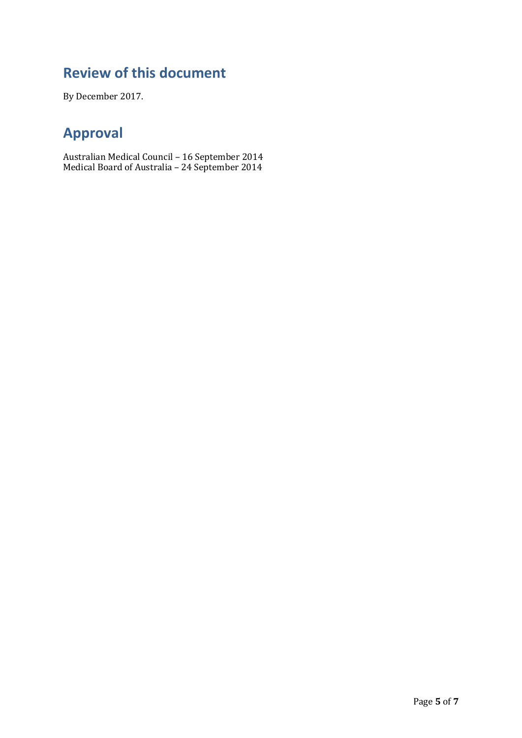### **Review of this document**

By December 2017.

### **Approval**

Australian Medical Council – 16 September 2014 Medical Board of Australia – 24 September 2014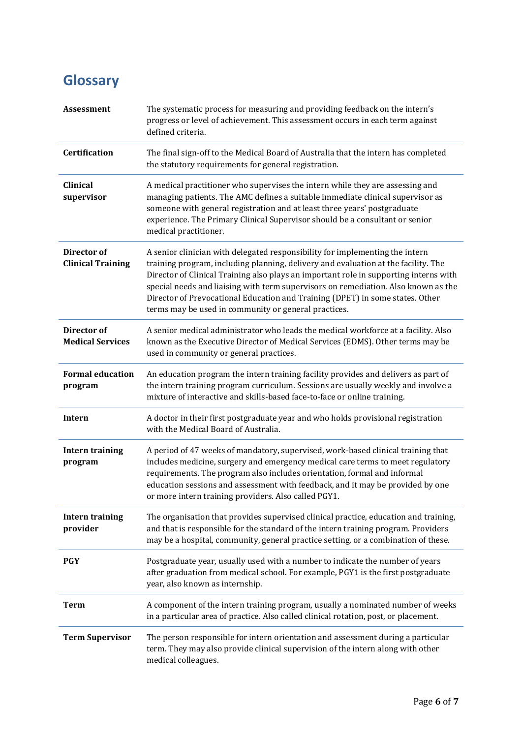## **Glossary**

| <b>Assessment</b>                             | The systematic process for measuring and providing feedback on the intern's<br>progress or level of achievement. This assessment occurs in each term against<br>defined criteria.                                                                                                                                                                                                                                                                                                          |
|-----------------------------------------------|--------------------------------------------------------------------------------------------------------------------------------------------------------------------------------------------------------------------------------------------------------------------------------------------------------------------------------------------------------------------------------------------------------------------------------------------------------------------------------------------|
| Certification                                 | The final sign-off to the Medical Board of Australia that the intern has completed<br>the statutory requirements for general registration.                                                                                                                                                                                                                                                                                                                                                 |
| <b>Clinical</b><br>supervisor                 | A medical practitioner who supervises the intern while they are assessing and<br>managing patients. The AMC defines a suitable immediate clinical supervisor as<br>someone with general registration and at least three years' postgraduate<br>experience. The Primary Clinical Supervisor should be a consultant or senior<br>medical practitioner.                                                                                                                                       |
| Director of<br><b>Clinical Training</b>       | A senior clinician with delegated responsibility for implementing the intern<br>training program, including planning, delivery and evaluation at the facility. The<br>Director of Clinical Training also plays an important role in supporting interns with<br>special needs and liaising with term supervisors on remediation. Also known as the<br>Director of Prevocational Education and Training (DPET) in some states. Other<br>terms may be used in community or general practices. |
| <b>Director</b> of<br><b>Medical Services</b> | A senior medical administrator who leads the medical workforce at a facility. Also<br>known as the Executive Director of Medical Services (EDMS). Other terms may be<br>used in community or general practices.                                                                                                                                                                                                                                                                            |
| <b>Formal education</b><br>program            | An education program the intern training facility provides and delivers as part of<br>the intern training program curriculum. Sessions are usually weekly and involve a<br>mixture of interactive and skills-based face-to-face or online training.                                                                                                                                                                                                                                        |
| <b>Intern</b>                                 | A doctor in their first postgraduate year and who holds provisional registration<br>with the Medical Board of Australia.                                                                                                                                                                                                                                                                                                                                                                   |
| <b>Intern training</b><br>program             | A period of 47 weeks of mandatory, supervised, work-based clinical training that<br>includes medicine, surgery and emergency medical care terms to meet regulatory<br>requirements. The program also includes orientation, formal and informal<br>education sessions and assessment with feedback, and it may be provided by one<br>or more intern training providers. Also called PGY1.                                                                                                   |
| <b>Intern training</b><br>provider            | The organisation that provides supervised clinical practice, education and training,<br>and that is responsible for the standard of the intern training program. Providers<br>may be a hospital, community, general practice setting, or a combination of these.                                                                                                                                                                                                                           |
| <b>PGY</b>                                    | Postgraduate year, usually used with a number to indicate the number of years<br>after graduation from medical school. For example, PGY1 is the first postgraduate<br>year, also known as internship.                                                                                                                                                                                                                                                                                      |
| <b>Term</b>                                   | A component of the intern training program, usually a nominated number of weeks<br>in a particular area of practice. Also called clinical rotation, post, or placement.                                                                                                                                                                                                                                                                                                                    |
| <b>Term Supervisor</b>                        | The person responsible for intern orientation and assessment during a particular<br>term. They may also provide clinical supervision of the intern along with other<br>medical colleagues.                                                                                                                                                                                                                                                                                                 |